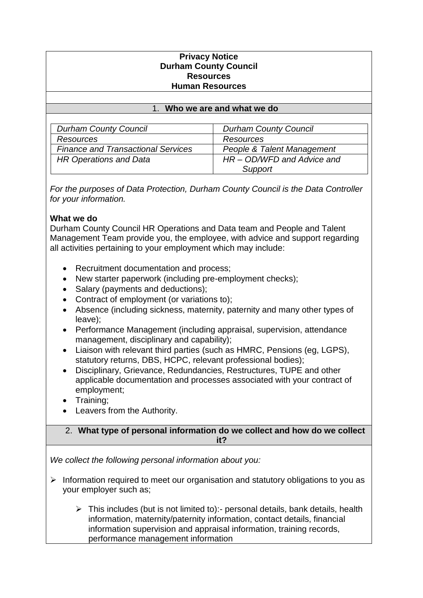### **Privacy Notice Durham County Council Resources Human Resources**

### 1. **Who we are and what we do**

| <b>Durham County Council</b>              | <b>Durham County Council</b> |
|-------------------------------------------|------------------------------|
| Resources                                 | <b>Resources</b>             |
| <b>Finance and Transactional Services</b> | People & Talent Management   |
| <b>HR Operations and Data</b>             | HR - OD/WFD and Advice and   |
|                                           | Support                      |

*For the purposes of Data Protection, Durham County Council is the Data Controller for your information.* 

### **What we do**

Durham County Council HR Operations and Data team and People and Talent Management Team provide you, the employee, with advice and support regarding all activities pertaining to your employment which may include:

- Recruitment documentation and process;
- New starter paperwork (including pre-employment checks);
- Salary (payments and deductions);
- Contract of employment (or variations to);
- Absence (including sickness, maternity, paternity and many other types of leave);
- Performance Management (including appraisal, supervision, attendance management, disciplinary and capability);
- Liaison with relevant third parties (such as HMRC, Pensions (eg, LGPS), statutory returns, DBS, HCPC, relevant professional bodies);
- Disciplinary, Grievance, Redundancies, Restructures, TUPE and other applicable documentation and processes associated with your contract of employment;
- Training;
- Leavers from the Authority.

### 2. **What type of personal information do we collect and how do we collect it?**

*We collect the following personal information about you:*

- $\triangleright$  Information required to meet our organisation and statutory obligations to you as your employer such as;
	- $\triangleright$  This includes (but is not limited to):- personal details, bank details, health information, maternity/paternity information, contact details, financial information supervision and appraisal information, training records, performance management information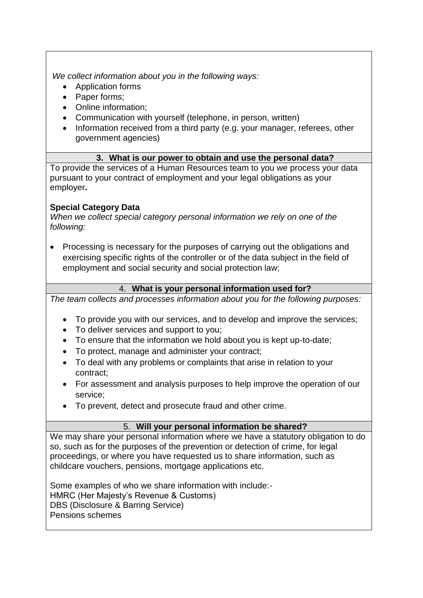*We collect information about you in the following ways:*

- Application forms
- Paper forms;
- Online information;
- Communication with yourself (telephone, in person, written)
- Information received from a third party (e.g. your manager, referees, other government agencies)

# **3. What is our power to obtain and use the personal data?**

To provide the services of a Human Resources team to you we process your data pursuant to your contract of employment and your legal obligations as your employer**.**

# **Special Category Data**

*When we collect special category personal information we rely on one of the following:*

• Processing is necessary for the purposes of carrying out the obligations and exercising specific rights of the controller or of the data subject in the field of employment and social security and social protection law;

# 4. **What is your personal information used for?**

*The team collects and processes information about you for the following purposes:*

- To provide you with our services, and to develop and improve the services;
- To deliver services and support to you;
- To ensure that the information we hold about you is kept up-to-date;
- To protect, manage and administer your contract;
- To deal with any problems or complaints that arise in relation to your contract;
- For assessment and analysis purposes to help improve the operation of our service;
- To prevent, detect and prosecute fraud and other crime.

# 5. **Will your personal information be shared?**

We may share your personal information where we have a statutory obligation to do so, such as for the purposes of the prevention or detection of crime, for legal proceedings, or where you have requested us to share information, such as childcare vouchers, pensions, mortgage applications etc.

Some examples of who we share information with include:- HMRC (Her Majesty's Revenue & Customs) DBS (Disclosure & Barring Service) Pensions schemes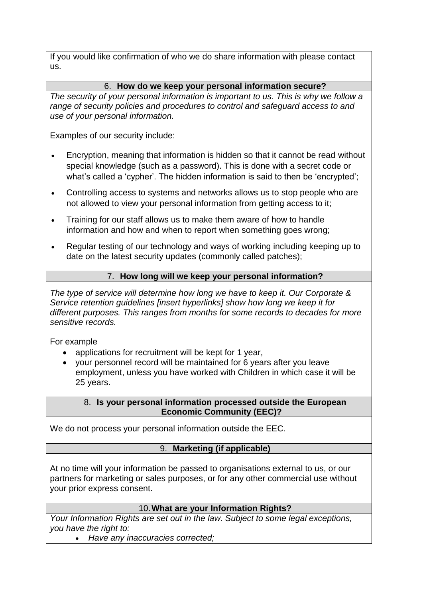If you would like confirmation of who we do share information with please contact us.

## 6. **How do we keep your personal information secure?**

*The security of your personal information is important to us. This is why we follow a range of security policies and procedures to control and safeguard access to and use of your personal information.*

Examples of our security include:

- Encryption, meaning that information is hidden so that it cannot be read without special knowledge (such as a password). This is done with a secret code or what's called a 'cypher'. The hidden information is said to then be 'encrypted';
- Controlling access to systems and networks allows us to stop people who are not allowed to view your personal information from getting access to it;
- Training for our staff allows us to make them aware of how to handle information and how and when to report when something goes wrong;
- Regular testing of our technology and ways of working including keeping up to date on the latest security updates (commonly called patches);

## 7. **How long will we keep your personal information?**

*The type of service will determine how long we have to keep it. Our Corporate & Service retention guidelines [insert hyperlinks] show how long we keep it for different purposes. This ranges from months for some records to decades for more sensitive records.* 

For example

- applications for recruitment will be kept for 1 year,
- your personnel record will be maintained for 6 years after you leave employment, unless you have worked with Children in which case it will be 25 years.

### 8. **Is your personal information processed outside the European Economic Community (EEC)?**

We do not process your personal information outside the EEC.

## 9. **Marketing (if applicable)**

At no time will your information be passed to organisations external to us, or our partners for marketing or sales purposes, or for any other commercial use without your prior express consent.

## 10.**What are your Information Rights?**

*Your Information Rights are set out in the law. Subject to some legal exceptions, you have the right to:*

• *Have any inaccuracies corrected;*